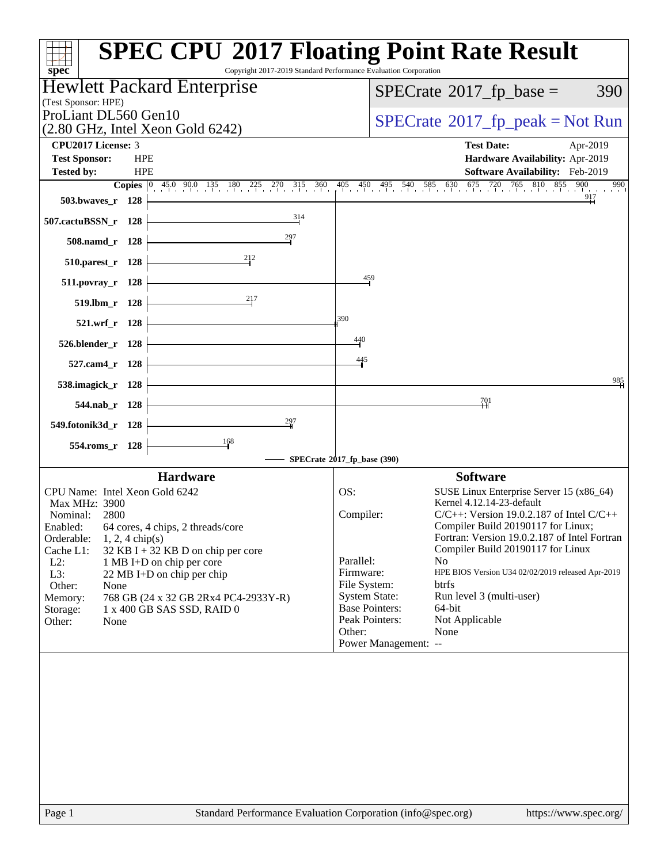| Copyright 2017-2019 Standard Performance Evaluation Corporation<br>$spec^*$                       | <b>SPEC CPU®2017 Floating Point Rate Result</b>                                         |
|---------------------------------------------------------------------------------------------------|-----------------------------------------------------------------------------------------|
| Hewlett Packard Enterprise                                                                        | $SPECTate$ <sup>®</sup> 2017_fp_base =<br>390                                           |
| (Test Sponsor: HPE)                                                                               |                                                                                         |
| ProLiant DL560 Gen10<br>$(2.80 \text{ GHz}, \text{Intel Xeon Gold } 6242)$                        | $SPECrate^{\circ}2017rfp peak = Not Run$                                                |
| CPU2017 License: 3                                                                                | <b>Test Date:</b><br>Apr-2019                                                           |
| <b>Test Sponsor:</b><br><b>HPE</b>                                                                | Hardware Availability: Apr-2019                                                         |
| <b>HPE</b><br><b>Tested by:</b>                                                                   | Software Availability: Feb-2019                                                         |
| <b>Copies</b> $\begin{bmatrix} 0 & 45.0 & 90.0 & 135 & 180 & 225 & 270 & 315 & 360 \end{bmatrix}$ | 405 450 495 540 585 630 675 720 765 810 855<br>900<br>990<br>917                        |
| 503.bwayes_r 128                                                                                  |                                                                                         |
| 314<br>507.cactuBSSN_r 128                                                                        |                                                                                         |
| 297<br>508.namd_r 128                                                                             |                                                                                         |
| 212<br>$510.parest_r$ 128                                                                         |                                                                                         |
| $511. povray_r 128$                                                                               | 459                                                                                     |
| 217<br>519.lbm_r 128                                                                              |                                                                                         |
| 521.wrf_r 128                                                                                     | 390                                                                                     |
| 526.blender_r 128                                                                                 | 440                                                                                     |
| 527.cam4 r 128                                                                                    | 445                                                                                     |
| 538.imagick_r 128                                                                                 | 985                                                                                     |
| 544.nab_r 128                                                                                     | $^{701}$                                                                                |
| 297<br>549.fotonik3d_r 128                                                                        |                                                                                         |
| 168<br>554.roms_r 128                                                                             |                                                                                         |
|                                                                                                   | SPECrate®2017_fp_base (390)                                                             |
| <b>Hardware</b>                                                                                   | <b>Software</b>                                                                         |
| CPU Name: Intel Xeon Gold 6242                                                                    | OS:<br>SUSE Linux Enterprise Server 15 (x86_64)                                         |
| Max MHz: 3900<br>Nominal: 2800                                                                    | Kernel 4.12.14-23-default<br>Compiler:<br>$C/C++$ : Version 19.0.2.187 of Intel $C/C++$ |
| Enabled: 64 cores, 4 chips, 2 threads/core                                                        | Compiler Build 20190117 for Linux;                                                      |
| Orderable:<br>$1, 2, 4$ chip(s)                                                                   | Fortran: Version 19.0.2.187 of Intel Fortran                                            |
| Cache L1:<br>$32$ KB I + 32 KB D on chip per core                                                 | Compiler Build 20190117 for Linux<br>Parallel:<br>N <sub>o</sub>                        |
| $L2$ :<br>1 MB I+D on chip per core<br>L3:<br>22 MB I+D on chip per chip                          | HPE BIOS Version U34 02/02/2019 released Apr-2019<br>Firmware:                          |
| Other:<br>None                                                                                    | File System:<br>btrfs                                                                   |
| 768 GB (24 x 32 GB 2Rx4 PC4-2933Y-R)<br>Memory:                                                   | <b>System State:</b><br>Run level 3 (multi-user)                                        |
| 1 x 400 GB SAS SSD, RAID 0<br>Storage:                                                            | <b>Base Pointers:</b><br>64-bit                                                         |
| Other:<br>None                                                                                    | Peak Pointers:<br>Not Applicable                                                        |
|                                                                                                   | Other:<br>None                                                                          |
|                                                                                                   | Power Management: --                                                                    |
|                                                                                                   |                                                                                         |
|                                                                                                   |                                                                                         |
|                                                                                                   |                                                                                         |
|                                                                                                   |                                                                                         |
|                                                                                                   |                                                                                         |
|                                                                                                   |                                                                                         |
|                                                                                                   |                                                                                         |
|                                                                                                   |                                                                                         |
|                                                                                                   |                                                                                         |
|                                                                                                   |                                                                                         |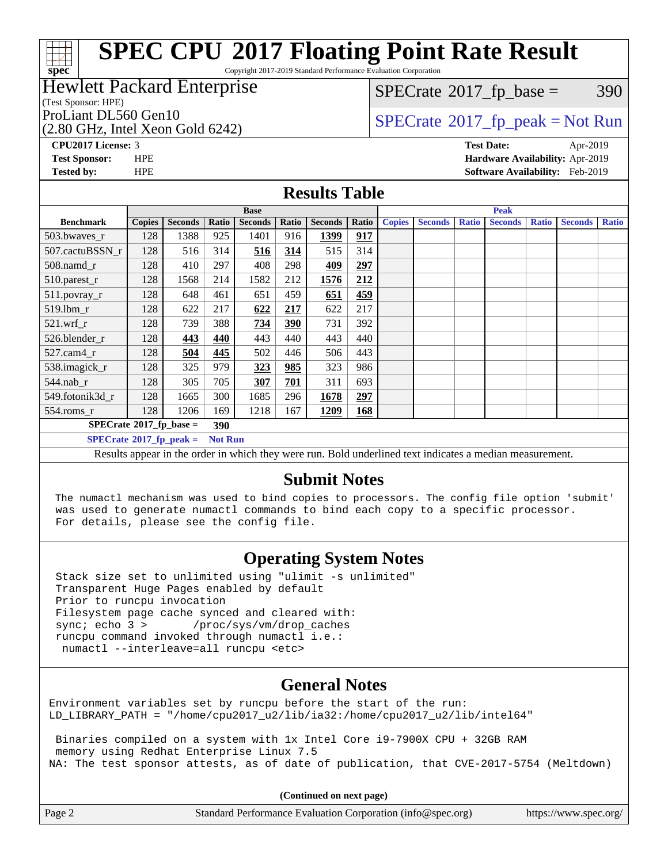#### **[SPEC CPU](http://www.spec.org/auto/cpu2017/Docs/result-fields.html#SPECCPU2017FloatingPointRateResult)[2017 Floating Point Rate Result](http://www.spec.org/auto/cpu2017/Docs/result-fields.html#SPECCPU2017FloatingPointRateResult)** Copyright 2017-2019 Standard Performance Evaluation Corporation

### Hewlett Packard Enterprise

(Test Sponsor: HPE)

(2.80 GHz, Intel Xeon Gold 6242)

 $SPECTate@2017_fp\_base = 390$ 

### ProLiant DL560 Gen10<br>  $SPECTATE$  [SPECrate](http://www.spec.org/auto/cpu2017/Docs/result-fields.html#SPECrate2017fppeak)®[2017\\_fp\\_peak = N](http://www.spec.org/auto/cpu2017/Docs/result-fields.html#SPECrate2017fppeak)ot Run

**[spec](http://www.spec.org/)**

ti h

**[CPU2017 License:](http://www.spec.org/auto/cpu2017/Docs/result-fields.html#CPU2017License)** 3 **[Test Date:](http://www.spec.org/auto/cpu2017/Docs/result-fields.html#TestDate)** Apr-2019 **[Test Sponsor:](http://www.spec.org/auto/cpu2017/Docs/result-fields.html#TestSponsor)** HPE **[Hardware Availability:](http://www.spec.org/auto/cpu2017/Docs/result-fields.html#HardwareAvailability)** Apr-2019 **[Tested by:](http://www.spec.org/auto/cpu2017/Docs/result-fields.html#Testedby)** HPE **[Software Availability:](http://www.spec.org/auto/cpu2017/Docs/result-fields.html#SoftwareAvailability)** Feb-2019

#### **[Results Table](http://www.spec.org/auto/cpu2017/Docs/result-fields.html#ResultsTable)**

|                                    | <b>Base</b>   |                   |                |                |       |                               | <b>Peak</b> |               |                                                              |              |                |              |                |              |  |  |  |
|------------------------------------|---------------|-------------------|----------------|----------------|-------|-------------------------------|-------------|---------------|--------------------------------------------------------------|--------------|----------------|--------------|----------------|--------------|--|--|--|
| <b>Benchmark</b>                   | <b>Copies</b> | <b>Seconds</b>    | Ratio          | <b>Seconds</b> | Ratio | <b>Seconds</b>                | Ratio       | <b>Copies</b> | <b>Seconds</b>                                               | <b>Ratio</b> | <b>Seconds</b> | <b>Ratio</b> | <b>Seconds</b> | <b>Ratio</b> |  |  |  |
| 503.bwaves_r                       | 128           | 1388              | 925            | 1401           | 916   | 1399                          | 917         |               |                                                              |              |                |              |                |              |  |  |  |
| 507.cactuBSSN r                    | 128           | 516               | 314            | 516            | 314   | 515                           | 314         |               |                                                              |              |                |              |                |              |  |  |  |
| $508$ .namd $r$                    | 128           | 410               | 297            | 408            | 298   | 409                           | 297         |               |                                                              |              |                |              |                |              |  |  |  |
| 510.parest_r                       | 128           | 1568              | 214            | 1582           | 212   | 1576                          | 212         |               |                                                              |              |                |              |                |              |  |  |  |
| 511.povray_r                       | 128           | 648               | 461            | 651            | 459   | 651                           | 459         |               |                                                              |              |                |              |                |              |  |  |  |
| $519.1$ bm r                       | 128           | 622               | 217            | 622            | 217   | 622                           | 217         |               |                                                              |              |                |              |                |              |  |  |  |
| $521$ .wrf r                       | 128           | 739               | 388            | 734            | 390   | 731                           | 392         |               |                                                              |              |                |              |                |              |  |  |  |
| 526.blender r                      | 128           | 443               | 440            | 443            | 440   | 443                           | 440         |               |                                                              |              |                |              |                |              |  |  |  |
| $527$ .cam $4r$                    | 128           | 504               | 445            | 502            | 446   | 506                           | 443         |               |                                                              |              |                |              |                |              |  |  |  |
| 538.imagick_r                      | 128           | 325               | 979            | 323            | 985   | 323                           | 986         |               |                                                              |              |                |              |                |              |  |  |  |
| $544$ .nab r                       | 128           | 305               | 705            | 307            | 701   | 311                           | 693         |               |                                                              |              |                |              |                |              |  |  |  |
| 549.fotonik3d r                    | 128           | 1665              | 300            | 1685           | 296   | 1678                          | 297         |               |                                                              |              |                |              |                |              |  |  |  |
| $554$ .roms_r                      | 128           | 1206              | 169            | 1218           | 167   | 1209                          | 168         |               |                                                              |              |                |              |                |              |  |  |  |
| $SPECrate^{\otimes}2017$ fp base = |               |                   | 390            |                |       |                               |             |               |                                                              |              |                |              |                |              |  |  |  |
| $SPECrate^{\circ}2017$ fp peak =   |               |                   | <b>Not Run</b> |                |       |                               |             |               |                                                              |              |                |              |                |              |  |  |  |
| $\mathbf{r}$ $\mathbf{r}$          |               | <b>All States</b> | $\sim$         | $-1$ $-1$ $-1$ |       | $\mathbf{r}$ and $\mathbf{r}$ |             |               | $-1$ , $-1$ , $-1$ , $-1$ , $-1$ , $-1$ , $-1$ , $-1$ , $-1$ |              | $\bullet$      |              |                |              |  |  |  |

Results appear in the [order in which they were run](http://www.spec.org/auto/cpu2017/Docs/result-fields.html#RunOrder). Bold underlined text [indicates a median measurement](http://www.spec.org/auto/cpu2017/Docs/result-fields.html#Median).

#### **[Submit Notes](http://www.spec.org/auto/cpu2017/Docs/result-fields.html#SubmitNotes)**

 The numactl mechanism was used to bind copies to processors. The config file option 'submit' was used to generate numactl commands to bind each copy to a specific processor. For details, please see the config file.

### **[Operating System Notes](http://www.spec.org/auto/cpu2017/Docs/result-fields.html#OperatingSystemNotes)**

 Stack size set to unlimited using "ulimit -s unlimited" Transparent Huge Pages enabled by default Prior to runcpu invocation Filesystem page cache synced and cleared with:<br>sync: echo 3 > /proc/sys/vm/drop\_caches /proc/sys/vm/drop\_caches runcpu command invoked through numactl i.e.: numactl --interleave=all runcpu <etc>

#### **[General Notes](http://www.spec.org/auto/cpu2017/Docs/result-fields.html#GeneralNotes)**

Environment variables set by runcpu before the start of the run: LD LIBRARY PATH = "/home/cpu2017 u2/lib/ia32:/home/cpu2017 u2/lib/intel64"

 Binaries compiled on a system with 1x Intel Core i9-7900X CPU + 32GB RAM memory using Redhat Enterprise Linux 7.5 NA: The test sponsor attests, as of date of publication, that CVE-2017-5754 (Meltdown)

**(Continued on next page)**

| Page 2<br>Standard Performance Evaluation Corporation (info@spec.org) |  |  | https://www.spec.org/ |
|-----------------------------------------------------------------------|--|--|-----------------------|
|-----------------------------------------------------------------------|--|--|-----------------------|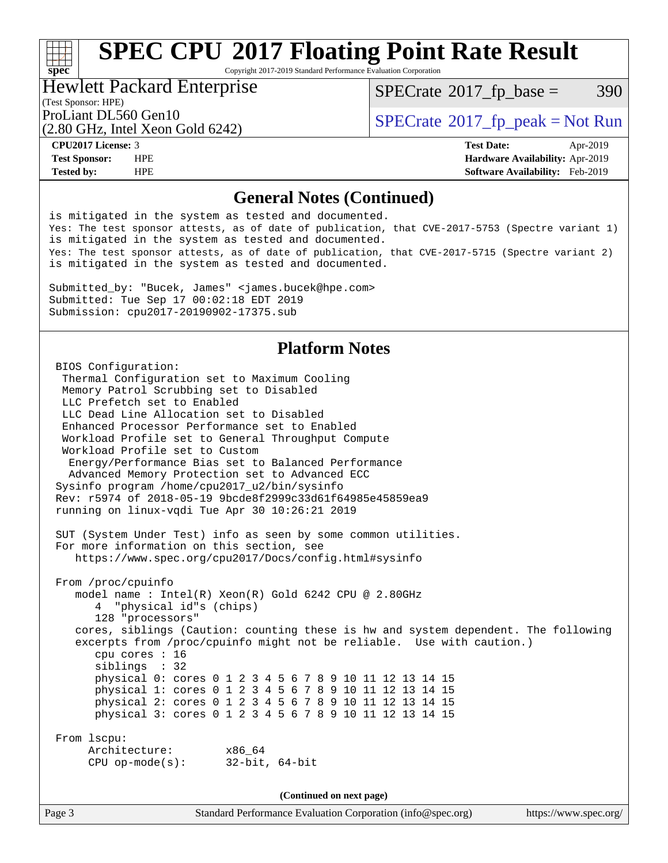# **[SPEC CPU](http://www.spec.org/auto/cpu2017/Docs/result-fields.html#SPECCPU2017FloatingPointRateResult)[2017 Floating Point Rate Result](http://www.spec.org/auto/cpu2017/Docs/result-fields.html#SPECCPU2017FloatingPointRateResult)**

Copyright 2017-2019 Standard Performance Evaluation Corporation

#### Hewlett Packard Enterprise

(Test Sponsor: HPE)

 $SPECTate@2017_fp\_base = 390$ 

(2.80 GHz, Intel Xeon Gold 6242)

ProLiant DL560 Gen10<br>  $SPECTI<sub>2</sub>$  [SPECrate](http://www.spec.org/auto/cpu2017/Docs/result-fields.html#SPECrate2017fppeak)®[2017\\_fp\\_peak = N](http://www.spec.org/auto/cpu2017/Docs/result-fields.html#SPECrate2017fppeak)ot Run

**[spec](http://www.spec.org/)**<sup>®</sup>

**[Tested by:](http://www.spec.org/auto/cpu2017/Docs/result-fields.html#Testedby)** HPE **[Software Availability:](http://www.spec.org/auto/cpu2017/Docs/result-fields.html#SoftwareAvailability)** Feb-2019

**[CPU2017 License:](http://www.spec.org/auto/cpu2017/Docs/result-fields.html#CPU2017License)** 3 **[Test Date:](http://www.spec.org/auto/cpu2017/Docs/result-fields.html#TestDate)** Apr-2019 **[Test Sponsor:](http://www.spec.org/auto/cpu2017/Docs/result-fields.html#TestSponsor)** HPE **[Hardware Availability:](http://www.spec.org/auto/cpu2017/Docs/result-fields.html#HardwareAvailability)** Apr-2019

#### **[General Notes \(Continued\)](http://www.spec.org/auto/cpu2017/Docs/result-fields.html#GeneralNotes)**

is mitigated in the system as tested and documented. Yes: The test sponsor attests, as of date of publication, that CVE-2017-5753 (Spectre variant 1) is mitigated in the system as tested and documented. Yes: The test sponsor attests, as of date of publication, that CVE-2017-5715 (Spectre variant 2) is mitigated in the system as tested and documented. Submitted\_by: "Bucek, James" <james.bucek@hpe.com> Submitted: Tue Sep 17 00:02:18 EDT 2019 Submission: cpu2017-20190902-17375.sub **[Platform Notes](http://www.spec.org/auto/cpu2017/Docs/result-fields.html#PlatformNotes)** BIOS Configuration: Thermal Configuration set to Maximum Cooling Memory Patrol Scrubbing set to Disabled LLC Prefetch set to Enabled LLC Dead Line Allocation set to Disabled Enhanced Processor Performance set to Enabled Workload Profile set to General Throughput Compute Workload Profile set to Custom Energy/Performance Bias set to Balanced Performance Advanced Memory Protection set to Advanced ECC Sysinfo program /home/cpu2017\_u2/bin/sysinfo Rev: r5974 of 2018-05-19 9bcde8f2999c33d61f64985e45859ea9 running on linux-vqdi Tue Apr 30 10:26:21 2019 SUT (System Under Test) info as seen by some common utilities. For more information on this section, see <https://www.spec.org/cpu2017/Docs/config.html#sysinfo> From /proc/cpuinfo model name : Intel(R) Xeon(R) Gold 6242 CPU @ 2.80GHz 4 "physical id"s (chips) 128 "processors" cores, siblings (Caution: counting these is hw and system dependent. The following excerpts from /proc/cpuinfo might not be reliable. Use with caution.) cpu cores : 16 siblings : 32 physical 0: cores 0 1 2 3 4 5 6 7 8 9 10 11 12 13 14 15 physical 1: cores 0 1 2 3 4 5 6 7 8 9 10 11 12 13 14 15 physical 2: cores 0 1 2 3 4 5 6 7 8 9 10 11 12 13 14 15 physical 3: cores 0 1 2 3 4 5 6 7 8 9 10 11 12 13 14 15 From lscpu: Architecture: x86\_64 CPU op-mode(s): 32-bit, 64-bit

**(Continued on next page)**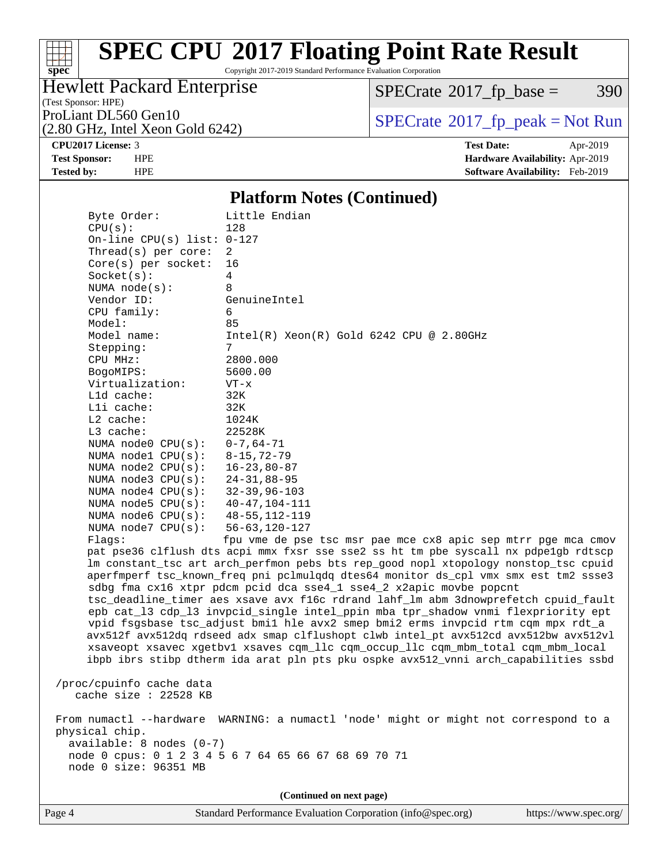# **[spec](http://www.spec.org/)**

# **[SPEC CPU](http://www.spec.org/auto/cpu2017/Docs/result-fields.html#SPECCPU2017FloatingPointRateResult)[2017 Floating Point Rate Result](http://www.spec.org/auto/cpu2017/Docs/result-fields.html#SPECCPU2017FloatingPointRateResult)**

Copyright 2017-2019 Standard Performance Evaluation Corporation

### Hewlett Packard Enterprise

 $SPECTate@2017_fp\_base = 390$ 

(Test Sponsor: HPE)

(2.80 GHz, Intel Xeon Gold 6242)

ProLiant DL560 Gen10<br>  $(2.80 \text{ GHz})$  Intel Xeon Gold 6242)

**[CPU2017 License:](http://www.spec.org/auto/cpu2017/Docs/result-fields.html#CPU2017License)** 3 **[Test Date:](http://www.spec.org/auto/cpu2017/Docs/result-fields.html#TestDate)** Apr-2019 **[Test Sponsor:](http://www.spec.org/auto/cpu2017/Docs/result-fields.html#TestSponsor)** HPE **[Hardware Availability:](http://www.spec.org/auto/cpu2017/Docs/result-fields.html#HardwareAvailability)** Apr-2019 **[Tested by:](http://www.spec.org/auto/cpu2017/Docs/result-fields.html#Testedby)** HPE **[Software Availability:](http://www.spec.org/auto/cpu2017/Docs/result-fields.html#SoftwareAvailability)** Feb-2019

#### **[Platform Notes \(Continued\)](http://www.spec.org/auto/cpu2017/Docs/result-fields.html#PlatformNotes)**

 Byte Order: Little Endian CPU(s): 128 On-line CPU(s) list: 0-127 Thread(s) per core: 2 Core(s) per socket: 16 Socket(s): 4 NUMA node(s): 8 Vendor ID: GenuineIntel CPU family: 6 Model: 85 Model name: Intel(R) Xeon(R) Gold 6242 CPU @ 2.80GHz Stepping: 7 CPU MHz: 2800.000 BogoMIPS: 5600.00 Virtualization: VT-x L1d cache: 32K L1i cache: 32K L2 cache: 1024K L3 cache: 22528K NUMA node0 CPU(s): 0-7,64-71 NUMA node1 CPU(s): 8-15,72-79 NUMA node2 CPU(s): 16-23,80-87 NUMA node3 CPU(s): 24-31,88-95 NUMA node4 CPU(s): 32-39,96-103 NUMA node5 CPU(s): 40-47,104-111 NUMA node6 CPU(s): 48-55,112-119 NUMA node7 CPU(s): 56-63,120-127 Flags: fpu vme de pse tsc msr pae mce cx8 apic sep mtrr pge mca cmov pat pse36 clflush dts acpi mmx fxsr sse sse2 ss ht tm pbe syscall nx pdpe1gb rdtscp lm constant\_tsc art arch\_perfmon pebs bts rep\_good nopl xtopology nonstop\_tsc cpuid aperfmperf tsc\_known\_freq pni pclmulqdq dtes64 monitor ds\_cpl vmx smx est tm2 ssse3 sdbg fma cx16 xtpr pdcm pcid dca sse4\_1 sse4\_2 x2apic movbe popcnt tsc\_deadline\_timer aes xsave avx f16c rdrand lahf\_lm abm 3dnowprefetch cpuid\_fault epb cat\_l3 cdp\_l3 invpcid\_single intel\_ppin mba tpr\_shadow vnmi flexpriority ept vpid fsgsbase tsc\_adjust bmi1 hle avx2 smep bmi2 erms invpcid rtm cqm mpx rdt\_a avx512f avx512dq rdseed adx smap clflushopt clwb intel\_pt avx512cd avx512bw avx512vl xsaveopt xsavec xgetbv1 xsaves cqm\_llc cqm\_occup\_llc cqm\_mbm\_total cqm\_mbm\_local ibpb ibrs stibp dtherm ida arat pln pts pku ospke avx512\_vnni arch\_capabilities ssbd /proc/cpuinfo cache data cache size : 22528 KB From numactl --hardware WARNING: a numactl 'node' might or might not correspond to a physical chip. available: 8 nodes (0-7) node 0 cpus: 0 1 2 3 4 5 6 7 64 65 66 67 68 69 70 71 node 0 size: 96351 MB

**(Continued on next page)**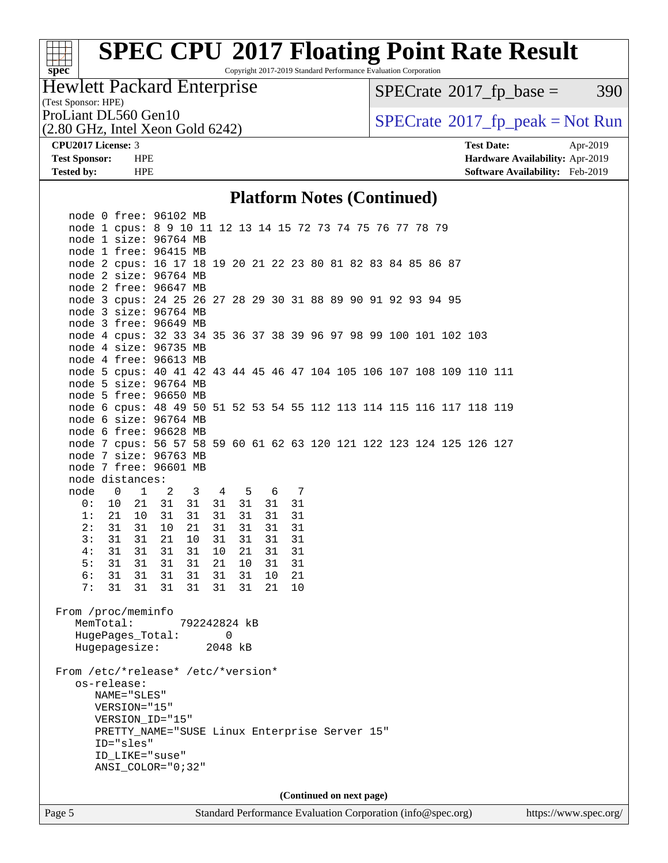#### $+\ +$ **[spec](http://www.spec.org/)**

# **[SPEC CPU](http://www.spec.org/auto/cpu2017/Docs/result-fields.html#SPECCPU2017FloatingPointRateResult)[2017 Floating Point Rate Result](http://www.spec.org/auto/cpu2017/Docs/result-fields.html#SPECCPU2017FloatingPointRateResult)**

Copyright 2017-2019 Standard Performance Evaluation Corporation

### Hewlett Packard Enterprise

 $SPECTate$ <sup>®</sup>[2017\\_fp\\_base =](http://www.spec.org/auto/cpu2017/Docs/result-fields.html#SPECrate2017fpbase) 390

(Test Sponsor: HPE)

(2.80 GHz, Intel Xeon Gold 6242)

ProLiant DL560 Gen10<br>  $(2.80 \text{ GHz} \text{ Intel } X \text{eon } \text{Gold } 6242)$   $\text{SPECrate} \textcircled{2017\_fp\_peak} = \text{Not Run}$  $\text{SPECrate} \textcircled{2017\_fp\_peak} = \text{Not Run}$  $\text{SPECrate} \textcircled{2017\_fp\_peak} = \text{Not Run}$ 

**[CPU2017 License:](http://www.spec.org/auto/cpu2017/Docs/result-fields.html#CPU2017License)** 3 **[Test Date:](http://www.spec.org/auto/cpu2017/Docs/result-fields.html#TestDate)** Apr-2019 **[Test Sponsor:](http://www.spec.org/auto/cpu2017/Docs/result-fields.html#TestSponsor)** HPE **[Hardware Availability:](http://www.spec.org/auto/cpu2017/Docs/result-fields.html#HardwareAvailability)** Apr-2019 **[Tested by:](http://www.spec.org/auto/cpu2017/Docs/result-fields.html#Testedby)** HPE **[Software Availability:](http://www.spec.org/auto/cpu2017/Docs/result-fields.html#SoftwareAvailability)** Feb-2019

#### **[Platform Notes \(Continued\)](http://www.spec.org/auto/cpu2017/Docs/result-fields.html#PlatformNotes)**

| Page 5   |                                                                                                                                                                                                          |                   |                         |                     |          |    |                |  | Standard Performance Evaluation Corporation (info@spec.org) |  |  |  | https://www.spec.org/ |  |
|----------|----------------------------------------------------------------------------------------------------------------------------------------------------------------------------------------------------------|-------------------|-------------------------|---------------------|----------|----|----------------|--|-------------------------------------------------------------|--|--|--|-----------------------|--|
|          |                                                                                                                                                                                                          |                   |                         |                     |          |    |                |  | (Continued on next page)                                    |  |  |  |                       |  |
|          | From /etc/*release* /etc/*version*<br>os-release:<br>NAME="SLES"<br>VERSION="15"<br>VERSION_ID="15"<br>PRETTY_NAME="SUSE Linux Enterprise Server 15"<br>ID="sles"<br>ID_LIKE="suse"<br>ANSI_COLOR="0;32" |                   |                         |                     |          |    |                |  |                                                             |  |  |  |                       |  |
|          | HugePages_Total:<br>Hugepagesize:                                                                                                                                                                        |                   |                         | $\Omega$<br>2048 kB |          |    |                |  |                                                             |  |  |  |                       |  |
|          | From /proc/meminfo<br>MemTotal:                                                                                                                                                                          |                   | 792242824 kB            |                     |          |    |                |  |                                                             |  |  |  |                       |  |
| 7:       | 31 31 31                                                                                                                                                                                                 |                   | 31<br>31                |                     | 31       | 21 | 10             |  |                                                             |  |  |  |                       |  |
| 6:       | 31 31                                                                                                                                                                                                    | 31                | 31<br>31                |                     | 31<br>10 |    | 21             |  |                                                             |  |  |  |                       |  |
| 5:       | 31<br>31                                                                                                                                                                                                 | 31                | 31<br>21                | 10                  |          | 31 | 31             |  |                                                             |  |  |  |                       |  |
| 4:       | 31<br>31                                                                                                                                                                                                 | 31                | 10<br>31                | 21                  |          | 31 | 31             |  |                                                             |  |  |  |                       |  |
| 3:       | 31<br>31                                                                                                                                                                                                 | 21                | 10<br>31                | 31                  | 31       |    | 31             |  |                                                             |  |  |  |                       |  |
| 2:       | 31 31                                                                                                                                                                                                    | 10                | 21<br>31                | 31                  | 31       |    | 31             |  |                                                             |  |  |  |                       |  |
| 0:<br>1: | 21 10                                                                                                                                                                                                    | 10 21 31 31<br>31 | 31<br>31                | 31 31 31<br>31      |          | 31 | 31<br>31       |  |                                                             |  |  |  |                       |  |
|          | node 0 1 2                                                                                                                                                                                               |                   | $\overline{\mathbf{3}}$ | 4 5 6               |          |    | $\overline{7}$ |  |                                                             |  |  |  |                       |  |
|          | node distances:                                                                                                                                                                                          |                   |                         |                     |          |    |                |  |                                                             |  |  |  |                       |  |
|          | node 7 free: 96601 MB                                                                                                                                                                                    |                   |                         |                     |          |    |                |  |                                                             |  |  |  |                       |  |
|          | node 7 size: 96763 MB                                                                                                                                                                                    |                   |                         |                     |          |    |                |  |                                                             |  |  |  |                       |  |
|          | node 7 cpus: 56 57 58 59 60 61 62 63 120 121 122 123 124 125 126 127                                                                                                                                     |                   |                         |                     |          |    |                |  |                                                             |  |  |  |                       |  |
|          | node 6 free: 96628 MB                                                                                                                                                                                    |                   |                         |                     |          |    |                |  |                                                             |  |  |  |                       |  |
|          | node 6 size: 96764 MB                                                                                                                                                                                    |                   |                         |                     |          |    |                |  |                                                             |  |  |  |                       |  |
|          | node 6 cpus: 48 49 50 51 52 53 54 55 112 113 114 115 116 117 118 119                                                                                                                                     |                   |                         |                     |          |    |                |  |                                                             |  |  |  |                       |  |
|          | node 5 free: 96650 MB                                                                                                                                                                                    |                   |                         |                     |          |    |                |  |                                                             |  |  |  |                       |  |
|          | node 5 size: 96764 MB                                                                                                                                                                                    |                   |                         |                     |          |    |                |  |                                                             |  |  |  |                       |  |
|          | node 5 cpus: 40 41 42 43 44 45 46 47 104 105 106 107 108 109 110 111                                                                                                                                     |                   |                         |                     |          |    |                |  |                                                             |  |  |  |                       |  |
|          | node 4 free: 96613 MB                                                                                                                                                                                    |                   |                         |                     |          |    |                |  |                                                             |  |  |  |                       |  |
|          | node 4 size: 96735 MB                                                                                                                                                                                    |                   |                         |                     |          |    |                |  |                                                             |  |  |  |                       |  |
|          | node 4 cpus: 32 33 34 35 36 37 38 39 96 97 98 99 100 101 102 103                                                                                                                                         |                   |                         |                     |          |    |                |  |                                                             |  |  |  |                       |  |
|          | node 3 size: 96764 MB<br>node 3 free: 96649 MB                                                                                                                                                           |                   |                         |                     |          |    |                |  |                                                             |  |  |  |                       |  |
|          | node 3 cpus: 24 25 26 27 28 29 30 31 88 89 90 91 92 93 94 95                                                                                                                                             |                   |                         |                     |          |    |                |  |                                                             |  |  |  |                       |  |
|          | node 2 free: 96647 MB                                                                                                                                                                                    |                   |                         |                     |          |    |                |  |                                                             |  |  |  |                       |  |
|          | node 2 size: 96764 MB                                                                                                                                                                                    |                   |                         |                     |          |    |                |  |                                                             |  |  |  |                       |  |
|          | node 2 cpus: 16 17 18 19 20 21 22 23 80 81 82 83 84 85 86 87                                                                                                                                             |                   |                         |                     |          |    |                |  |                                                             |  |  |  |                       |  |
|          | node 1 free: 96415 MB                                                                                                                                                                                    |                   |                         |                     |          |    |                |  |                                                             |  |  |  |                       |  |
|          | node 1 cpus: 8 9 10 11 12 13 14 15 72 73 74 75 76 77 78 79<br>node 1 size: 96764 MB                                                                                                                      |                   |                         |                     |          |    |                |  |                                                             |  |  |  |                       |  |
|          | node 0 free: 96102 MB                                                                                                                                                                                    |                   |                         |                     |          |    |                |  |                                                             |  |  |  |                       |  |
|          |                                                                                                                                                                                                          |                   |                         |                     |          |    |                |  |                                                             |  |  |  |                       |  |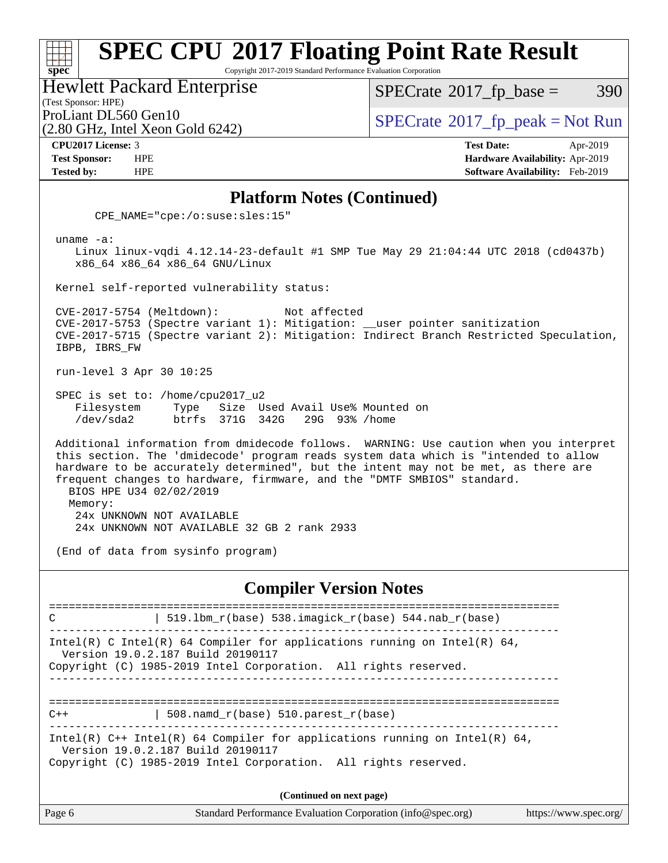# **[SPEC CPU](http://www.spec.org/auto/cpu2017/Docs/result-fields.html#SPECCPU2017FloatingPointRateResult)[2017 Floating Point Rate Result](http://www.spec.org/auto/cpu2017/Docs/result-fields.html#SPECCPU2017FloatingPointRateResult)**

Copyright 2017-2019 Standard Performance Evaluation Corporation

Hewlett Packard Enterprise

(2.80 GHz, Intel Xeon Gold 6242)

 $SPECTate$ <sup>®</sup>[2017\\_fp\\_base =](http://www.spec.org/auto/cpu2017/Docs/result-fields.html#SPECrate2017fpbase) 390

(Test Sponsor: HPE)

ProLiant DL560 Gen10  $SPECTA 500$  Sex Cold  $6242$ 

**[spec](http://www.spec.org/)**

**[CPU2017 License:](http://www.spec.org/auto/cpu2017/Docs/result-fields.html#CPU2017License)** 3 **[Test Date:](http://www.spec.org/auto/cpu2017/Docs/result-fields.html#TestDate)** Apr-2019 **[Test Sponsor:](http://www.spec.org/auto/cpu2017/Docs/result-fields.html#TestSponsor)** HPE **[Hardware Availability:](http://www.spec.org/auto/cpu2017/Docs/result-fields.html#HardwareAvailability)** Apr-2019 **[Tested by:](http://www.spec.org/auto/cpu2017/Docs/result-fields.html#Testedby)** HPE **[Software Availability:](http://www.spec.org/auto/cpu2017/Docs/result-fields.html#SoftwareAvailability)** Feb-2019

#### **[Platform Notes \(Continued\)](http://www.spec.org/auto/cpu2017/Docs/result-fields.html#PlatformNotes)**

CPE\_NAME="cpe:/o:suse:sles:15"

uname -a:

 Linux linux-vqdi 4.12.14-23-default #1 SMP Tue May 29 21:04:44 UTC 2018 (cd0437b) x86\_64 x86\_64 x86\_64 GNU/Linux

Kernel self-reported vulnerability status:

 CVE-2017-5754 (Meltdown): Not affected CVE-2017-5753 (Spectre variant 1): Mitigation: \_\_user pointer sanitization CVE-2017-5715 (Spectre variant 2): Mitigation: Indirect Branch Restricted Speculation, IBPB, IBRS\_FW

run-level 3 Apr 30 10:25

 SPEC is set to: /home/cpu2017\_u2 Filesystem Type Size Used Avail Use% Mounted on /dev/sda2 btrfs 371G 342G 29G 93% /home

 Additional information from dmidecode follows. WARNING: Use caution when you interpret this section. The 'dmidecode' program reads system data which is "intended to allow hardware to be accurately determined", but the intent may not be met, as there are frequent changes to hardware, firmware, and the "DMTF SMBIOS" standard. BIOS HPE U34 02/02/2019 Memory: 24x UNKNOWN NOT AVAILABLE

24x UNKNOWN NOT AVAILABLE 32 GB 2 rank 2933

(End of data from sysinfo program)

#### **[Compiler Version Notes](http://www.spec.org/auto/cpu2017/Docs/result-fields.html#CompilerVersionNotes)**

============================================================================== C  $| 519.1bm_r(base) 538.imagick_r(base) 544.nab_r(base)$ ------------------------------------------------------------------------------ Intel(R) C Intel(R) 64 Compiler for applications running on Intel(R)  $64$ , Version 19.0.2.187 Build 20190117 Copyright (C) 1985-2019 Intel Corporation. All rights reserved. ------------------------------------------------------------------------------ ==============================================================================  $C++$  | 508.namd\_r(base) 510.parest\_r(base) ------------------------------------------------------------------------------ Intel(R)  $C++$  Intel(R) 64 Compiler for applications running on Intel(R) 64, Version 19.0.2.187 Build 20190117 Copyright (C) 1985-2019 Intel Corporation. All rights reserved. **(Continued on next page)**

| Standard Performance Evaluation Corporation (info@spec.org)<br>Page 6<br>https://www.spec.org/ |
|------------------------------------------------------------------------------------------------|
|------------------------------------------------------------------------------------------------|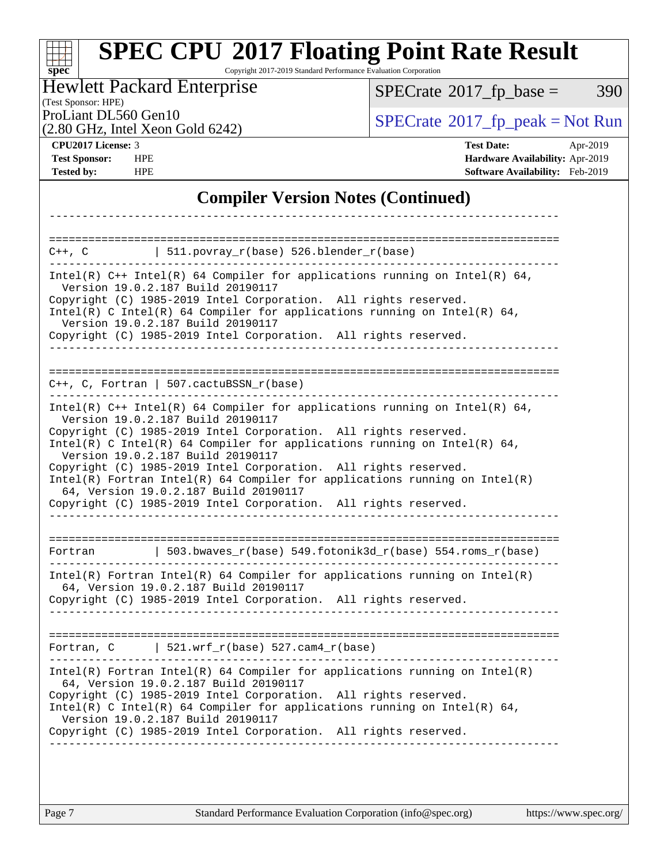#### **[spec](http://www.spec.org/) [SPEC CPU](http://www.spec.org/auto/cpu2017/Docs/result-fields.html#SPECCPU2017FloatingPointRateResult)[2017 Floating Point Rate Result](http://www.spec.org/auto/cpu2017/Docs/result-fields.html#SPECCPU2017FloatingPointRateResult)** Copyright 2017-2019 Standard Performance Evaluation Corporation (Test Sponsor: HPE) Hewlett Packard Enterprise (2.80 GHz, Intel Xeon Gold 6242) ProLiant DL560 Gen10<br>  $SPECTI<sub>2</sub>$  [SPECrate](http://www.spec.org/auto/cpu2017/Docs/result-fields.html#SPECrate2017fppeak)®[2017\\_fp\\_peak = N](http://www.spec.org/auto/cpu2017/Docs/result-fields.html#SPECrate2017fppeak)ot Run  $SPECTate$ <sup>®</sup>[2017\\_fp\\_base =](http://www.spec.org/auto/cpu2017/Docs/result-fields.html#SPECrate2017fpbase) 390 **[CPU2017 License:](http://www.spec.org/auto/cpu2017/Docs/result-fields.html#CPU2017License)** 3 **[Test Date:](http://www.spec.org/auto/cpu2017/Docs/result-fields.html#TestDate)** Apr-2019 **[Test Sponsor:](http://www.spec.org/auto/cpu2017/Docs/result-fields.html#TestSponsor)** HPE **[Hardware Availability:](http://www.spec.org/auto/cpu2017/Docs/result-fields.html#HardwareAvailability)** Apr-2019 **[Tested by:](http://www.spec.org/auto/cpu2017/Docs/result-fields.html#Testedby)** HPE **[Software Availability:](http://www.spec.org/auto/cpu2017/Docs/result-fields.html#SoftwareAvailability)** Feb-2019 **[Compiler Version Notes \(Continued\)](http://www.spec.org/auto/cpu2017/Docs/result-fields.html#CompilerVersionNotes)** ------------------------------------------------------------------------------ ==============================================================================  $C++$ ,  $C$  | 511.povray\_r(base) 526.blender\_r(base) ------------------------------------------------------------------------------ Intel(R) C++ Intel(R) 64 Compiler for applications running on Intel(R) 64, Version 19.0.2.187 Build 20190117 Copyright (C) 1985-2019 Intel Corporation. All rights reserved. Intel(R) C Intel(R) 64 Compiler for applications running on Intel(R) 64, Version 19.0.2.187 Build 20190117 Copyright (C) 1985-2019 Intel Corporation. All rights reserved. ------------------------------------------------------------------------------ ============================================================================== C++, C, Fortran | 507.cactuBSSN\_r(base) ------------------------------------------------------------------------------ Intel(R)  $C++$  Intel(R) 64 Compiler for applications running on Intel(R) 64, Version 19.0.2.187 Build 20190117 Copyright (C) 1985-2019 Intel Corporation. All rights reserved. Intel(R) C Intel(R) 64 Compiler for applications running on Intel(R)  $64$ , Version 19.0.2.187 Build 20190117 Copyright (C) 1985-2019 Intel Corporation. All rights reserved. Intel(R) Fortran Intel(R) 64 Compiler for applications running on Intel(R) 64, Version 19.0.2.187 Build 20190117 Copyright (C) 1985-2019 Intel Corporation. All rights reserved. ------------------------------------------------------------------------------ ============================================================================== Fortran | 503.bwaves\_r(base) 549.fotonik3d\_r(base) 554.roms\_r(base) ------------------------------------------------------------------------------

Intel(R) Fortran Intel(R) 64 Compiler for applications running on Intel(R) 64, Version 19.0.2.187 Build 20190117

Copyright (C) 1985-2019 Intel Corporation. All rights reserved. ------------------------------------------------------------------------------

============================================================================== Fortran, C |  $521.wrf_r(base) 527.cam4_r(base)$ 

------------------------------------------------------------------------------ Intel(R) Fortran Intel(R) 64 Compiler for applications running on Intel(R) 64, Version 19.0.2.187 Build 20190117 Copyright (C) 1985-2019 Intel Corporation. All rights reserved. Intel(R) C Intel(R) 64 Compiler for applications running on Intel(R) 64, Version 19.0.2.187 Build 20190117 Copyright (C) 1985-2019 Intel Corporation. All rights reserved.

------------------------------------------------------------------------------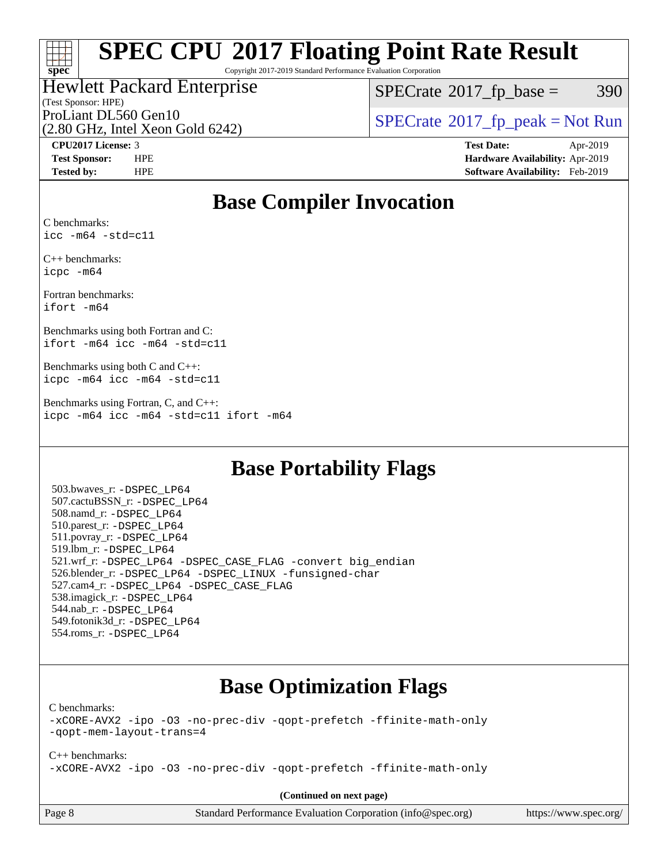

# **[SPEC CPU](http://www.spec.org/auto/cpu2017/Docs/result-fields.html#SPECCPU2017FloatingPointRateResult)[2017 Floating Point Rate Result](http://www.spec.org/auto/cpu2017/Docs/result-fields.html#SPECCPU2017FloatingPointRateResult)**

Copyright 2017-2019 Standard Performance Evaluation Corporation

### Hewlett Packard Enterprise

 $SPECTate@2017_fp\_base = 390$ 

### (Test Sponsor: HPE)

(2.80 GHz, Intel Xeon Gold 6242)

ProLiant DL560 Gen10<br>  $SPECTATE$  [SPECrate](http://www.spec.org/auto/cpu2017/Docs/result-fields.html#SPECrate2017fppeak)®[2017\\_fp\\_peak = N](http://www.spec.org/auto/cpu2017/Docs/result-fields.html#SPECrate2017fppeak)ot Run

**[CPU2017 License:](http://www.spec.org/auto/cpu2017/Docs/result-fields.html#CPU2017License)** 3 **[Test Date:](http://www.spec.org/auto/cpu2017/Docs/result-fields.html#TestDate)** Apr-2019 **[Test Sponsor:](http://www.spec.org/auto/cpu2017/Docs/result-fields.html#TestSponsor)** HPE **[Hardware Availability:](http://www.spec.org/auto/cpu2017/Docs/result-fields.html#HardwareAvailability)** Apr-2019 **[Tested by:](http://www.spec.org/auto/cpu2017/Docs/result-fields.html#Testedby)** HPE **[Software Availability:](http://www.spec.org/auto/cpu2017/Docs/result-fields.html#SoftwareAvailability)** Feb-2019

## **[Base Compiler Invocation](http://www.spec.org/auto/cpu2017/Docs/result-fields.html#BaseCompilerInvocation)**

[C benchmarks](http://www.spec.org/auto/cpu2017/Docs/result-fields.html#Cbenchmarks): [icc -m64 -std=c11](http://www.spec.org/cpu2017/results/res2019q3/cpu2017-20190902-17375.flags.html#user_CCbase_intel_icc_64bit_c11_33ee0cdaae7deeeab2a9725423ba97205ce30f63b9926c2519791662299b76a0318f32ddfffdc46587804de3178b4f9328c46fa7c2b0cd779d7a61945c91cd35)

[C++ benchmarks:](http://www.spec.org/auto/cpu2017/Docs/result-fields.html#CXXbenchmarks) [icpc -m64](http://www.spec.org/cpu2017/results/res2019q3/cpu2017-20190902-17375.flags.html#user_CXXbase_intel_icpc_64bit_4ecb2543ae3f1412ef961e0650ca070fec7b7afdcd6ed48761b84423119d1bf6bdf5cad15b44d48e7256388bc77273b966e5eb805aefd121eb22e9299b2ec9d9)

[Fortran benchmarks](http://www.spec.org/auto/cpu2017/Docs/result-fields.html#Fortranbenchmarks): [ifort -m64](http://www.spec.org/cpu2017/results/res2019q3/cpu2017-20190902-17375.flags.html#user_FCbase_intel_ifort_64bit_24f2bb282fbaeffd6157abe4f878425411749daecae9a33200eee2bee2fe76f3b89351d69a8130dd5949958ce389cf37ff59a95e7a40d588e8d3a57e0c3fd751)

[Benchmarks using both Fortran and C](http://www.spec.org/auto/cpu2017/Docs/result-fields.html#BenchmarksusingbothFortranandC): [ifort -m64](http://www.spec.org/cpu2017/results/res2019q3/cpu2017-20190902-17375.flags.html#user_CC_FCbase_intel_ifort_64bit_24f2bb282fbaeffd6157abe4f878425411749daecae9a33200eee2bee2fe76f3b89351d69a8130dd5949958ce389cf37ff59a95e7a40d588e8d3a57e0c3fd751) [icc -m64 -std=c11](http://www.spec.org/cpu2017/results/res2019q3/cpu2017-20190902-17375.flags.html#user_CC_FCbase_intel_icc_64bit_c11_33ee0cdaae7deeeab2a9725423ba97205ce30f63b9926c2519791662299b76a0318f32ddfffdc46587804de3178b4f9328c46fa7c2b0cd779d7a61945c91cd35)

[Benchmarks using both C and C++:](http://www.spec.org/auto/cpu2017/Docs/result-fields.html#BenchmarksusingbothCandCXX) [icpc -m64](http://www.spec.org/cpu2017/results/res2019q3/cpu2017-20190902-17375.flags.html#user_CC_CXXbase_intel_icpc_64bit_4ecb2543ae3f1412ef961e0650ca070fec7b7afdcd6ed48761b84423119d1bf6bdf5cad15b44d48e7256388bc77273b966e5eb805aefd121eb22e9299b2ec9d9) [icc -m64 -std=c11](http://www.spec.org/cpu2017/results/res2019q3/cpu2017-20190902-17375.flags.html#user_CC_CXXbase_intel_icc_64bit_c11_33ee0cdaae7deeeab2a9725423ba97205ce30f63b9926c2519791662299b76a0318f32ddfffdc46587804de3178b4f9328c46fa7c2b0cd779d7a61945c91cd35)

[Benchmarks using Fortran, C, and C++](http://www.spec.org/auto/cpu2017/Docs/result-fields.html#BenchmarksusingFortranCandCXX): [icpc -m64](http://www.spec.org/cpu2017/results/res2019q3/cpu2017-20190902-17375.flags.html#user_CC_CXX_FCbase_intel_icpc_64bit_4ecb2543ae3f1412ef961e0650ca070fec7b7afdcd6ed48761b84423119d1bf6bdf5cad15b44d48e7256388bc77273b966e5eb805aefd121eb22e9299b2ec9d9) [icc -m64 -std=c11](http://www.spec.org/cpu2017/results/res2019q3/cpu2017-20190902-17375.flags.html#user_CC_CXX_FCbase_intel_icc_64bit_c11_33ee0cdaae7deeeab2a9725423ba97205ce30f63b9926c2519791662299b76a0318f32ddfffdc46587804de3178b4f9328c46fa7c2b0cd779d7a61945c91cd35) [ifort -m64](http://www.spec.org/cpu2017/results/res2019q3/cpu2017-20190902-17375.flags.html#user_CC_CXX_FCbase_intel_ifort_64bit_24f2bb282fbaeffd6157abe4f878425411749daecae9a33200eee2bee2fe76f3b89351d69a8130dd5949958ce389cf37ff59a95e7a40d588e8d3a57e0c3fd751)

### **[Base Portability Flags](http://www.spec.org/auto/cpu2017/Docs/result-fields.html#BasePortabilityFlags)**

 503.bwaves\_r: [-DSPEC\\_LP64](http://www.spec.org/cpu2017/results/res2019q3/cpu2017-20190902-17375.flags.html#suite_basePORTABILITY503_bwaves_r_DSPEC_LP64) 507.cactuBSSN\_r: [-DSPEC\\_LP64](http://www.spec.org/cpu2017/results/res2019q3/cpu2017-20190902-17375.flags.html#suite_basePORTABILITY507_cactuBSSN_r_DSPEC_LP64) 508.namd\_r: [-DSPEC\\_LP64](http://www.spec.org/cpu2017/results/res2019q3/cpu2017-20190902-17375.flags.html#suite_basePORTABILITY508_namd_r_DSPEC_LP64) 510.parest\_r: [-DSPEC\\_LP64](http://www.spec.org/cpu2017/results/res2019q3/cpu2017-20190902-17375.flags.html#suite_basePORTABILITY510_parest_r_DSPEC_LP64) 511.povray\_r: [-DSPEC\\_LP64](http://www.spec.org/cpu2017/results/res2019q3/cpu2017-20190902-17375.flags.html#suite_basePORTABILITY511_povray_r_DSPEC_LP64) 519.lbm\_r: [-DSPEC\\_LP64](http://www.spec.org/cpu2017/results/res2019q3/cpu2017-20190902-17375.flags.html#suite_basePORTABILITY519_lbm_r_DSPEC_LP64) 521.wrf\_r: [-DSPEC\\_LP64](http://www.spec.org/cpu2017/results/res2019q3/cpu2017-20190902-17375.flags.html#suite_basePORTABILITY521_wrf_r_DSPEC_LP64) [-DSPEC\\_CASE\\_FLAG](http://www.spec.org/cpu2017/results/res2019q3/cpu2017-20190902-17375.flags.html#b521.wrf_r_baseCPORTABILITY_DSPEC_CASE_FLAG) [-convert big\\_endian](http://www.spec.org/cpu2017/results/res2019q3/cpu2017-20190902-17375.flags.html#user_baseFPORTABILITY521_wrf_r_convert_big_endian_c3194028bc08c63ac5d04de18c48ce6d347e4e562e8892b8bdbdc0214820426deb8554edfa529a3fb25a586e65a3d812c835984020483e7e73212c4d31a38223) 526.blender\_r: [-DSPEC\\_LP64](http://www.spec.org/cpu2017/results/res2019q3/cpu2017-20190902-17375.flags.html#suite_basePORTABILITY526_blender_r_DSPEC_LP64) [-DSPEC\\_LINUX](http://www.spec.org/cpu2017/results/res2019q3/cpu2017-20190902-17375.flags.html#b526.blender_r_baseCPORTABILITY_DSPEC_LINUX) [-funsigned-char](http://www.spec.org/cpu2017/results/res2019q3/cpu2017-20190902-17375.flags.html#user_baseCPORTABILITY526_blender_r_force_uchar_40c60f00ab013830e2dd6774aeded3ff59883ba5a1fc5fc14077f794d777847726e2a5858cbc7672e36e1b067e7e5c1d9a74f7176df07886a243d7cc18edfe67) 527.cam4\_r: [-DSPEC\\_LP64](http://www.spec.org/cpu2017/results/res2019q3/cpu2017-20190902-17375.flags.html#suite_basePORTABILITY527_cam4_r_DSPEC_LP64) [-DSPEC\\_CASE\\_FLAG](http://www.spec.org/cpu2017/results/res2019q3/cpu2017-20190902-17375.flags.html#b527.cam4_r_baseCPORTABILITY_DSPEC_CASE_FLAG) 538.imagick\_r: [-DSPEC\\_LP64](http://www.spec.org/cpu2017/results/res2019q3/cpu2017-20190902-17375.flags.html#suite_basePORTABILITY538_imagick_r_DSPEC_LP64) 544.nab\_r: [-DSPEC\\_LP64](http://www.spec.org/cpu2017/results/res2019q3/cpu2017-20190902-17375.flags.html#suite_basePORTABILITY544_nab_r_DSPEC_LP64) 549.fotonik3d\_r: [-DSPEC\\_LP64](http://www.spec.org/cpu2017/results/res2019q3/cpu2017-20190902-17375.flags.html#suite_basePORTABILITY549_fotonik3d_r_DSPEC_LP64) 554.roms\_r: [-DSPEC\\_LP64](http://www.spec.org/cpu2017/results/res2019q3/cpu2017-20190902-17375.flags.html#suite_basePORTABILITY554_roms_r_DSPEC_LP64)

## **[Base Optimization Flags](http://www.spec.org/auto/cpu2017/Docs/result-fields.html#BaseOptimizationFlags)**

[C benchmarks](http://www.spec.org/auto/cpu2017/Docs/result-fields.html#Cbenchmarks):

[-xCORE-AVX2](http://www.spec.org/cpu2017/results/res2019q3/cpu2017-20190902-17375.flags.html#user_CCbase_f-xCORE-AVX2) [-ipo](http://www.spec.org/cpu2017/results/res2019q3/cpu2017-20190902-17375.flags.html#user_CCbase_f-ipo) [-O3](http://www.spec.org/cpu2017/results/res2019q3/cpu2017-20190902-17375.flags.html#user_CCbase_f-O3) [-no-prec-div](http://www.spec.org/cpu2017/results/res2019q3/cpu2017-20190902-17375.flags.html#user_CCbase_f-no-prec-div) [-qopt-prefetch](http://www.spec.org/cpu2017/results/res2019q3/cpu2017-20190902-17375.flags.html#user_CCbase_f-qopt-prefetch) [-ffinite-math-only](http://www.spec.org/cpu2017/results/res2019q3/cpu2017-20190902-17375.flags.html#user_CCbase_f_finite_math_only_cb91587bd2077682c4b38af759c288ed7c732db004271a9512da14a4f8007909a5f1427ecbf1a0fb78ff2a814402c6114ac565ca162485bbcae155b5e4258871) [-qopt-mem-layout-trans=4](http://www.spec.org/cpu2017/results/res2019q3/cpu2017-20190902-17375.flags.html#user_CCbase_f-qopt-mem-layout-trans_fa39e755916c150a61361b7846f310bcdf6f04e385ef281cadf3647acec3f0ae266d1a1d22d972a7087a248fd4e6ca390a3634700869573d231a252c784941a8)

[C++ benchmarks:](http://www.spec.org/auto/cpu2017/Docs/result-fields.html#CXXbenchmarks) [-xCORE-AVX2](http://www.spec.org/cpu2017/results/res2019q3/cpu2017-20190902-17375.flags.html#user_CXXbase_f-xCORE-AVX2) [-ipo](http://www.spec.org/cpu2017/results/res2019q3/cpu2017-20190902-17375.flags.html#user_CXXbase_f-ipo) [-O3](http://www.spec.org/cpu2017/results/res2019q3/cpu2017-20190902-17375.flags.html#user_CXXbase_f-O3) [-no-prec-div](http://www.spec.org/cpu2017/results/res2019q3/cpu2017-20190902-17375.flags.html#user_CXXbase_f-no-prec-div) [-qopt-prefetch](http://www.spec.org/cpu2017/results/res2019q3/cpu2017-20190902-17375.flags.html#user_CXXbase_f-qopt-prefetch) [-ffinite-math-only](http://www.spec.org/cpu2017/results/res2019q3/cpu2017-20190902-17375.flags.html#user_CXXbase_f_finite_math_only_cb91587bd2077682c4b38af759c288ed7c732db004271a9512da14a4f8007909a5f1427ecbf1a0fb78ff2a814402c6114ac565ca162485bbcae155b5e4258871)

**(Continued on next page)**

Page 8 Standard Performance Evaluation Corporation [\(info@spec.org\)](mailto:info@spec.org) <https://www.spec.org/>